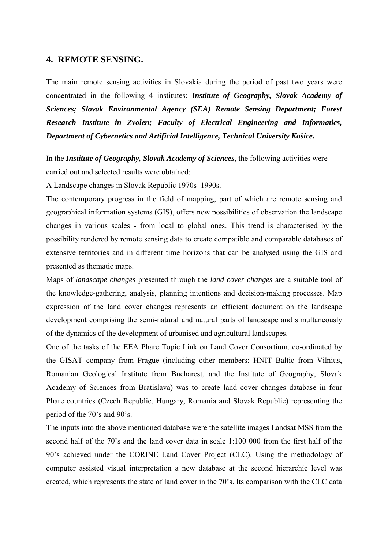# **4. REMOTE SENSING.**

The main remote sensing activities in Slovakia during the period of past two years were concentrated in the following 4 institutes: *Institute of Geography, Slovak Academy of Sciences; Slovak Environmental Agency (SEA) Remote Sensing Department; Forest Research Institute in Zvolen; Faculty of Electrical Engineering and Informatics, Department of Cybernetics and Artificial Intelligence, Technical University Košice.*

In the *Institute of Geography, Slovak Academy of Sciences*, the following activities were carried out and selected results were obtained:

A Landscape changes in Slovak Republic 1970s–1990s.

The contemporary progress in the field of mapping, part of which are remote sensing and geographical information systems (GIS), offers new possibilities of observation the landscape changes in various scales - from local to global ones. This trend is characterised by the possibility rendered by remote sensing data to create compatible and comparable databases of extensive territories and in different time horizons that can be analysed using the GIS and presented as thematic maps.

Maps of *landscape changes* presented through the *land cover changes* are a suitable tool of the knowledge-gathering, analysis, planning intentions and decision-making processes. Map expression of the land cover changes represents an efficient document on the landscape development comprising the semi-natural and natural parts of landscape and simultaneously of the dynamics of the development of urbanised and agricultural landscapes.

One of the tasks of the EEA Phare Topic Link on Land Cover Consortium, co-ordinated by the GISAT company from Prague (including other members: HNIT Baltic from Vilnius, Romanian Geological Institute from Bucharest, and the Institute of Geography, Slovak Academy of Sciences from Bratislava) was to create land cover changes database in four Phare countries (Czech Republic, Hungary, Romania and Slovak Republic) representing the period of the 70's and 90's.

The inputs into the above mentioned database were the satellite images Landsat MSS from the second half of the 70's and the land cover data in scale 1:100 000 from the first half of the 90's achieved under the CORINE Land Cover Project (CLC). Using the methodology of computer assisted visual interpretation a new database at the second hierarchic level was created, which represents the state of land cover in the 70's. Its comparison with the CLC data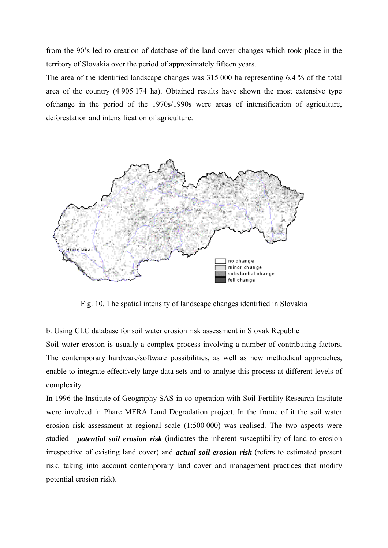from the 90's led to creation of database of the land cover changes which took place in the territory of Slovakia over the period of approximately fifteen years.

The area of the identified landscape changes was 315 000 ha representing 6.4 % of the total area of the country (4 905 174 ha). Obtained results have shown the most extensive type ofchange in the period of the 1970s/1990s were areas of intensification of agriculture, deforestation and intensification of agriculture.



Fig. 10. The spatial intensity of landscape changes identified in Slovakia

b. Using CLC database for soil water erosion risk assessment in Slovak Republic

Soil water erosion is usually a complex process involving a number of contributing factors. The contemporary hardware/software possibilities, as well as new methodical approaches, enable to integrate effectively large data sets and to analyse this process at different levels of complexity.

In 1996 the Institute of Geography SAS in co-operation with Soil Fertility Research Institute were involved in Phare MERA Land Degradation project. In the frame of it the soil water erosion risk assessment at regional scale (1:500 000) was realised. The two aspects were studied - *potential soil erosion risk* (indicates the inherent susceptibility of land to erosion irrespective of existing land cover) and *actual soil erosion risk* (refers to estimated present risk, taking into account contemporary land cover and management practices that modify potential erosion risk).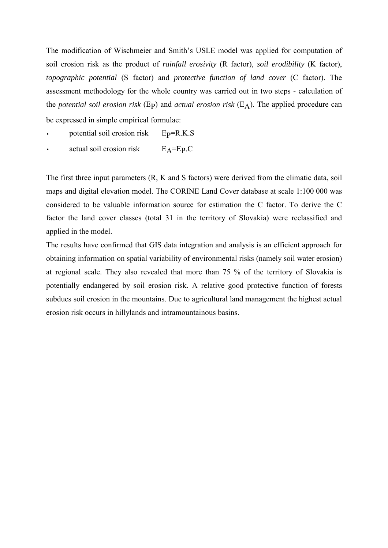The modification of Wischmeier and Smith's USLE model was applied for computation of soil erosion risk as the product of *rainfall erosivity* (R factor), *soil erodibility* (K factor), *topographic potential* (S factor) and *protective function of land cover* (C factor). The assessment methodology for the whole country was carried out in two steps - calculation of the *potential soil erosion risk* (E<sub>P</sub>) and *actual erosion risk* ( $E_A$ ). The applied procedure can be expressed in simple empirical formulae:

- potential soil erosion risk Ep=R.K.S
- actual soil erosion risk  $E_A = E_P.C$

The first three input parameters (R, K and S factors) were derived from the climatic data, soil maps and digital elevation model. The CORINE Land Cover database at scale 1:100 000 was considered to be valuable information source for estimation the C factor. To derive the C factor the land cover classes (total 31 in the territory of Slovakia) were reclassified and applied in the model.

The results have confirmed that GIS data integration and analysis is an efficient approach for obtaining information on spatial variability of environmental risks (namely soil water erosion) at regional scale. They also revealed that more than 75 % of the territory of Slovakia is potentially endangered by soil erosion risk. A relative good protective function of forests subdues soil erosion in the mountains. Due to agricultural land management the highest actual erosion risk occurs in hillylands and intramountainous basins.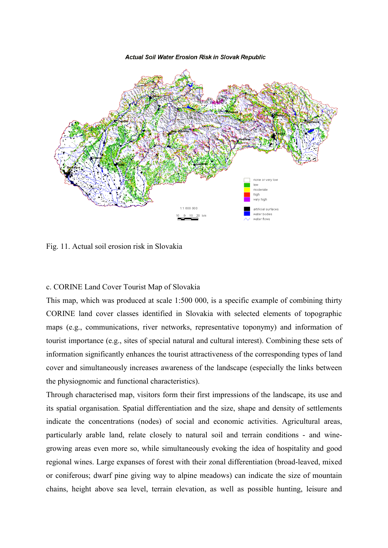**Actual Soil Water Erosion Risk in Slovak Republic** 



Fig. 11. Actual soil erosion risk in Slovakia

### c. CORINE Land Cover Tourist Map of Slovakia

This map, which was produced at scale 1:500 000, is a specific example of combining thirty CORINE land cover classes identified in Slovakia with selected elements of topographic maps (e.g., communications, river networks, representative toponymy) and information of tourist importance (e.g., sites of special natural and cultural interest). Combining these sets of information significantly enhances the tourist attractiveness of the corresponding types of land cover and simultaneously increases awareness of the landscape (especially the links between the physiognomic and functional characteristics).

Through characterised map, visitors form their first impressions of the landscape, its use and its spatial organisation. Spatial differentiation and the size, shape and density of settlements indicate the concentrations (nodes) of social and economic activities. Agricultural areas, particularly arable land, relate closely to natural soil and terrain conditions - and winegrowing areas even more so, while simultaneously evoking the idea of hospitality and good regional wines. Large expanses of forest with their zonal differentiation (broad-leaved, mixed or coniferous; dwarf pine giving way to alpine meadows) can indicate the size of mountain chains, height above sea level, terrain elevation, as well as possible hunting, leisure and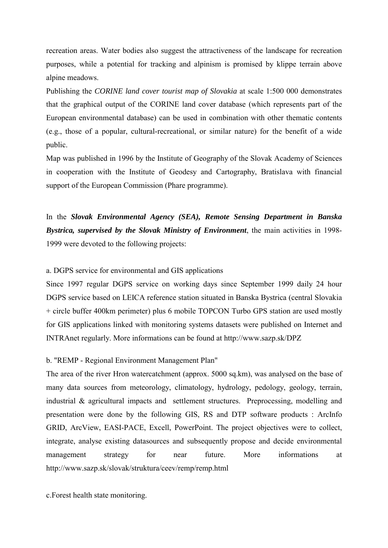recreation areas. Water bodies also suggest the attractiveness of the landscape for recreation purposes, while a potential for tracking and alpinism is promised by klippe terrain above alpine meadows.

Publishing the *CORINE land cover tourist map of Slovakia* at scale 1:500 000 demonstrates that the graphical output of the CORINE land cover database (which represents part of the European environmental database) can be used in combination with other thematic contents (e.g., those of a popular, cultural-recreational, or similar nature) for the benefit of a wide public.

Map was published in 1996 by the Institute of Geography of the Slovak Academy of Sciences in cooperation with the Institute of Geodesy and Cartography, Bratislava with financial support of the European Commission (Phare programme).

In the *Slovak Environmental Agency (SEA), Remote Sensing Department in Banska Bystrica, supervised by the Slovak Ministry of Environment*, the main activities in 1998- 1999 were devoted to the following projects:

### a. DGPS service for environmental and GIS applications

Since 1997 regular DGPS service on working days since September 1999 daily 24 hour DGPS service based on LEICA reference station situated in Banska Bystrica (central Slovakia + circle buffer 400km perimeter) plus 6 mobile TOPCON Turbo GPS station are used mostly for GIS applications linked with monitoring systems datasets were published on Internet and INTRAnet regularly. More informations can be found at http://www.sazp.sk/DPZ

## b. "REMP - Regional Environment Management Plan"

The area of the river Hron watercatchment (approx. 5000 sq.km), was analysed on the base of many data sources from meteorology, climatology, hydrology, pedology, geology, terrain, industrial & agricultural impacts and settlement structures. Preprocessing, modelling and presentation were done by the following GIS, RS and DTP software products : ArcInfo GRID, ArcView, EASI-PACE, Excell, PowerPoint. The project objectives were to collect, integrate, analyse existing datasources and subsequently propose and decide environmental management strategy for near future. More informations at http://www.sazp.sk/slovak/struktura/ceev/remp/remp.html

c.Forest health state monitoring.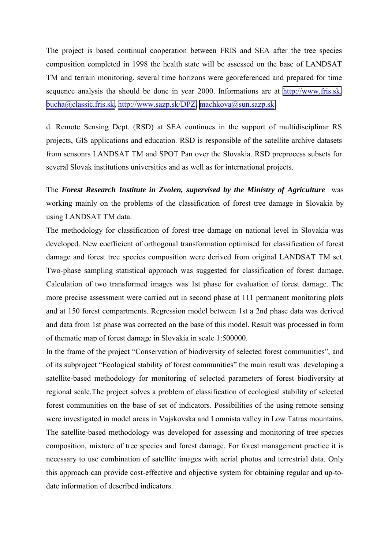The project is based continual cooperation between FRIS and SEA after the tree species composition completed in 1998 the health state will be assessed on the base of LANDSAT TM and terrain monitoring. several time horizons were georeferenced and prepared for time sequence analysis tha should be done in year 2000. Informations are at [http://www.fris.sk,](http://www.fris.sk/) [bucha@classic.fris.sk,](mailto:bucha@classic.fris.sk) [http://www.sazp.sk/DPZ,](http://www.sazp.sk/DPZ) [machkova@sun.sazp.sk](mailto:machkova@sun.sazp.sk)

d. Remote Sensing Dept. (RSD) at SEA continues in the support of multidisciplinar RS projects, GIS applications and education. RSD is responsible of the satellite archive datasets from sensonrs LANDSAT TM and SPOT Pan over the Slovakia. RSD preprocess subsets for several Slovak institutions universities and as well as for international projects.

The *Forest Research Institute in Zvolen, supervised by the Ministry of Agriculture* was working mainly on the problems of the classification of forest tree damage in Slovakia by using LANDSAT TM data.

The methodology for classification of forest tree damage on national level in Slovakia was developed. New coefficient of orthogonal transformation optimised for classification of forest damage and forest tree species composition were derived from original LANDSAT TM set. Two-phase sampling statistical approach was suggested for classification of forest damage. Calculation of two transformed images was 1st phase for evaluation of forest damage. The more precise assessment were carried out in second phase at 111 permanent monitoring plots and at 150 forest compartments. Regression model between 1st a 2nd phase data was derived and data from 1st phase was corrected on the base of this model. Result was processed in form of thematic map of forest damage in Slovakia in scale 1:500000.

In the frame of the project "Conservation of biodiversity of selected forest communities", and of its subproject "Ecological stability of forest communities" the main result was developing a satellite-based methodology for monitoring of selected parameters of forest biodiversity at regional scale.The project solves a problem of classification of ecological stability of selected forest communities on the base of set of indicators. Possibilities of the using remote sensing were investigated in model areas in Vajskovska and Lomnista valley in Low Tatras mountains. The satellite-based methodology was developed for assessing and monitoring of tree species composition, mixture of tree species and forest damage. For forest management practice it is necessary to use combination of satellite images with aerial photos and terrestrial data. Only this approach can provide cost-effective and objective system for obtaining regular and up-todate information of described indicators.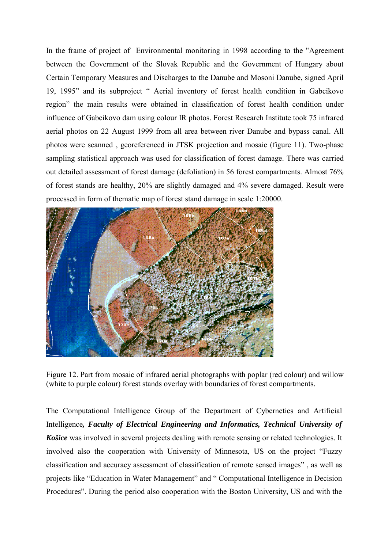In the frame of project of Environmental monitoring in 1998 according to the "Agreement between the Government of the Slovak Republic and the Government of Hungary about Certain Temporary Measures and Discharges to the Danube and Mosoni Danube, signed April 19, 1995" and its subproject " Aerial inventory of forest health condition in Gabcikovo region" the main results were obtained in classification of forest health condition under influence of Gabcikovo dam using colour IR photos. Forest Research Institute took 75 infrared aerial photos on 22 August 1999 from all area between river Danube and bypass canal. All photos were scanned , georeferenced in JTSK projection and mosaic (figure 11). Two-phase sampling statistical approach was used for classification of forest damage. There was carried out detailed assessment of forest damage (defoliation) in 56 forest compartments. Almost 76% of forest stands are healthy, 20% are slightly damaged and 4% severe damaged. Result were processed in form of thematic map of forest stand damage in scale 1:20000.



Figure 12. Part from mosaic of infrared aerial photographs with poplar (red colour) and willow (white to purple colour) forest stands overlay with boundaries of forest compartments.

The Computational Intelligence Group of the Department of Cybernetics and Artificial Intelligence*, Faculty of Electrical Engineering and Informatics, Technical University of Košice* was involved in several projects dealing with remote sensing or related technologies. It involved also the cooperation with University of Minnesota, US on the project "Fuzzy classification and accuracy assessment of classification of remote sensed images" , as well as projects like "Education in Water Management" and " Computational Intelligence in Decision Procedures". During the period also cooperation with the Boston University, US and with the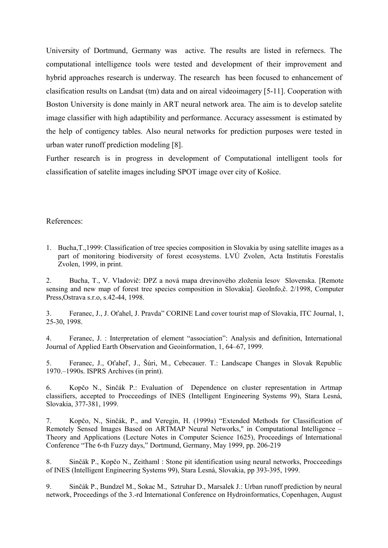University of Dortmund, Germany was active. The results are listed in refernecs. The computational intelligence tools were tested and development of their improvement and hybrid approaches research is underway. The research has been focused to enhancement of clasification results on Landsat (tm) data and on aireal videoimagery [5-11]. Cooperation with Boston University is done mainly in ART neural network area. The aim is to develop satelite image classifier with high adaptibility and performance. Accuracy assessment is estimated by the help of contigency tables. Also neural networks for prediction purposes were tested in urban water runoff prediction modeling [8].

Further research is in progress in development of Computational intelligent tools for classification of satelite images including SPOT image over city of Košice.

#### References:

1. Bucha,T.,1999: Classification of tree species composition in Slovakia by using satellite images as a part of monitoring biodiversity of forest ecosystems. LVÚ Zvolen, Acta Institutis Forestalis Zvolen, 1999, in print.

2. Bucha, T., V. Vladovič: DPZ a nová mapa drevinového zloženia lesov Slovenska. [Remote sensing and new map of forest tree species composition in Slovakia]. GeoInfo,č. 2/1998, Computer Press,Ostrava s.r.o, s.42-44, 1998.

3. Feranec, J., J. Oťahel, J. Pravda" CORINE Land cover tourist map of Slovakia, ITC Journal, 1, 25-30, 1998.

4. Feranec, J. : Interpretation of element "association": Analysis and definition, International Journal of Applied Earth Observation and Geoinformation, 1, 64–67, 1999.

5. Feranec, J., Oťaheľ, J., Šúri, M., Cebecauer. T.: Landscape Changes in Slovak Republic 1970.–1990s. ISPRS Archives (in print).

6. Kopčo N., Sinčák P.: Evaluation of Dependence on cluster representation in Artmap classifiers, accepted to Procceedings of INES (Intelligent Engineering Systems 99), Stara Lesná, Slovakia, 377-381, 1999.

7. Kopčo, N., Sinčák, P., and Veregin, H. (1999a) "Extended Methods for Classification of Remotely Sensed Images Based on ARTMAP Neural Networks," in Computational Intelligence – Theory and Applications (Lecture Notes in Computer Science 1625), Proceedings of International Conference "The 6-th Fuzzy days," Dortmund, Germany, May 1999, pp. 206-219

8. Sinčák P., Kopčo N., Zeithaml : Stone pit identification using neural networks, Procceedings of INES (Intelligent Engineering Systems 99), Stara Lesná, Slovakia, pp 393-395, 1999.

9. Sinčák P., Bundzel M., Sokac M., Sztruhar D., Marsalek J.: Urban runoff prediction by neural network, Proceedings of the 3.-rd International Conference on Hydroinformatics, Copenhagen, August